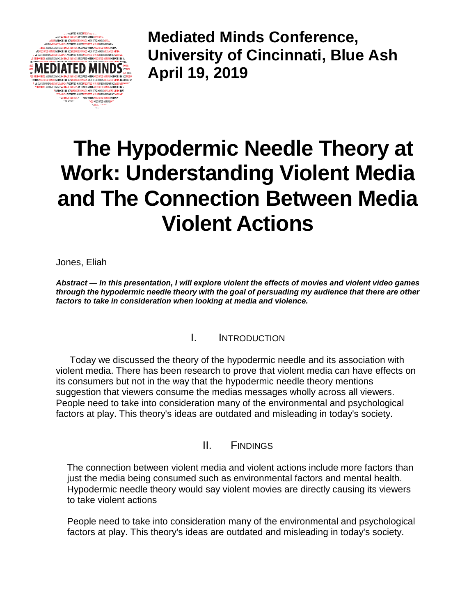

**Mediated Minds Conference, University of Cincinnati, Blue Ash April 19, 2019**

## **The Hypodermic Needle Theory at Work: Understanding Violent Media and The Connection Between Media Violent Actions**

Jones, Eliah

*Abstract — In this presentation, I will explore violent the effects of movies and violent video games through the hypodermic needle theory with the goal of persuading my audience that there are other factors to take in consideration when looking at media and violence.*

## I. INTRODUCTION

Today we discussed the theory of the hypodermic needle and its association with violent media. There has been research to prove that violent media can have effects on its consumers but not in the way that the hypodermic needle theory mentions suggestion that viewers consume the medias messages wholly across all viewers. People need to take into consideration many of the environmental and psychological factors at play. This theory's ideas are outdated and misleading in today's society.

II. FINDINGS

The connection between violent media and violent actions include more factors than just the media being consumed such as environmental factors and mental health. Hypodermic needle theory would say violent movies are directly causing its viewers to take violent actions

People need to take into consideration many of the environmental and psychological factors at play. This theory's ideas are outdated and misleading in today's society.